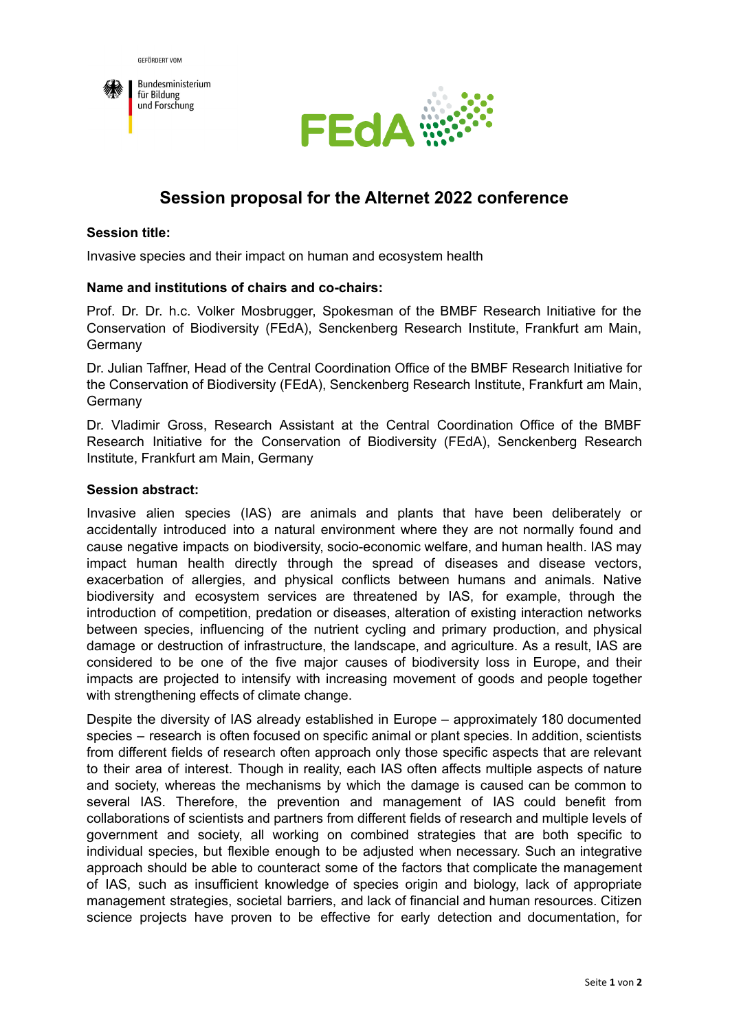



# **Session proposal for the Alternet 2022 conference**

#### **Session title:**

Invasive species and their impact on human and ecosystem health

#### **Name and institutions of chairs and co-chairs:**

Prof. Dr. Dr. h.c. Volker Mosbrugger, Spokesman of the BMBF Research Initiative for the Conservation of Biodiversity (FEdA), Senckenberg Research Institute, Frankfurt am Main, Germany

Dr. Julian Taffner, Head of the Central Coordination Office of the BMBF Research Initiative for the Conservation of Biodiversity (FEdA), Senckenberg Research Institute, Frankfurt am Main, Germany

Dr. Vladimir Gross, Research Assistant at the Central Coordination Office of the BMBF Research Initiative for the Conservation of Biodiversity (FEdA), Senckenberg Research Institute, Frankfurt am Main, Germany

### **Session abstract:**

Invasive alien species (IAS) are animals and plants that have been deliberately or accidentally introduced into a natural environment where they are not normally found and cause negative impacts on biodiversity, socio-economic welfare, and human health. IAS may impact human health directly through the spread of diseases and disease vectors, exacerbation of allergies, and physical conflicts between humans and animals. Native biodiversity and ecosystem services are threatened by IAS, for example, through the introduction of competition, predation or diseases, alteration of existing interaction networks between species, influencing of the nutrient cycling and primary production, and physical damage or destruction of infrastructure, the landscape, and agriculture. As a result, IAS are considered to be one of the five major causes of biodiversity loss in Europe, and their impacts are projected to intensify with increasing movement of goods and people together with strengthening effects of climate change.

Despite the diversity of IAS already established in Europe – approximately 180 documented species – research is often focused on specific animal or plant species. In addition, scientists from different fields of research often approach only those specific aspects that are relevant to their area of interest. Though in reality, each IAS often affects multiple aspects of nature and society, whereas the mechanisms by which the damage is caused can be common to several IAS. Therefore, the prevention and management of IAS could benefit from collaborations of scientists and partners from different fields of research and multiple levels of government and society, all working on combined strategies that are both specific to individual species, but flexible enough to be adjusted when necessary. Such an integrative approach should be able to counteract some of the factors that complicate the management of IAS, such as insufficient knowledge of species origin and biology, lack of appropriate management strategies, societal barriers, and lack of financial and human resources. Citizen science projects have proven to be effective for early detection and documentation, for